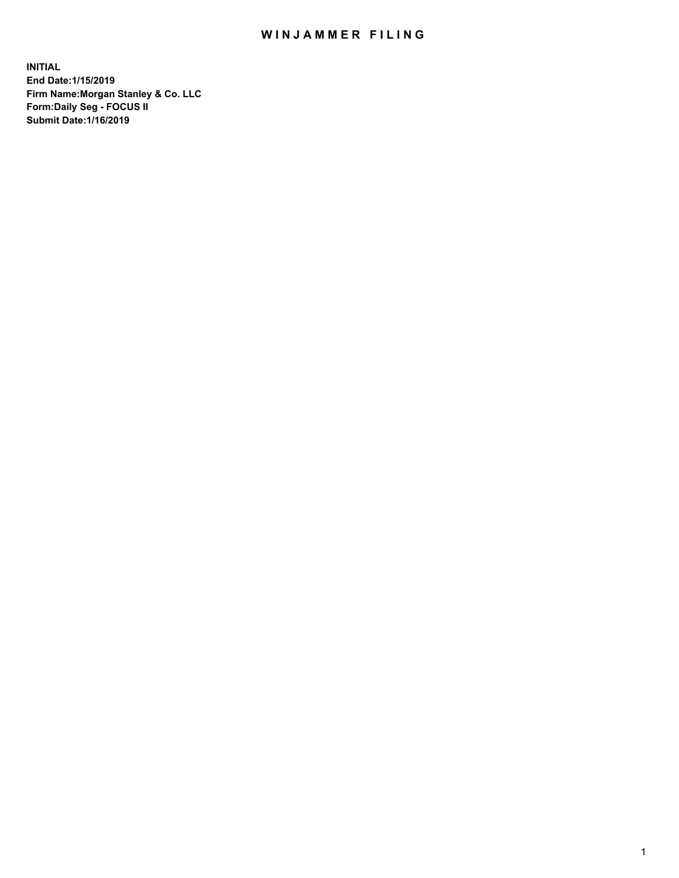## WIN JAMMER FILING

**INITIAL End Date:1/15/2019 Firm Name:Morgan Stanley & Co. LLC Form:Daily Seg - FOCUS II Submit Date:1/16/2019**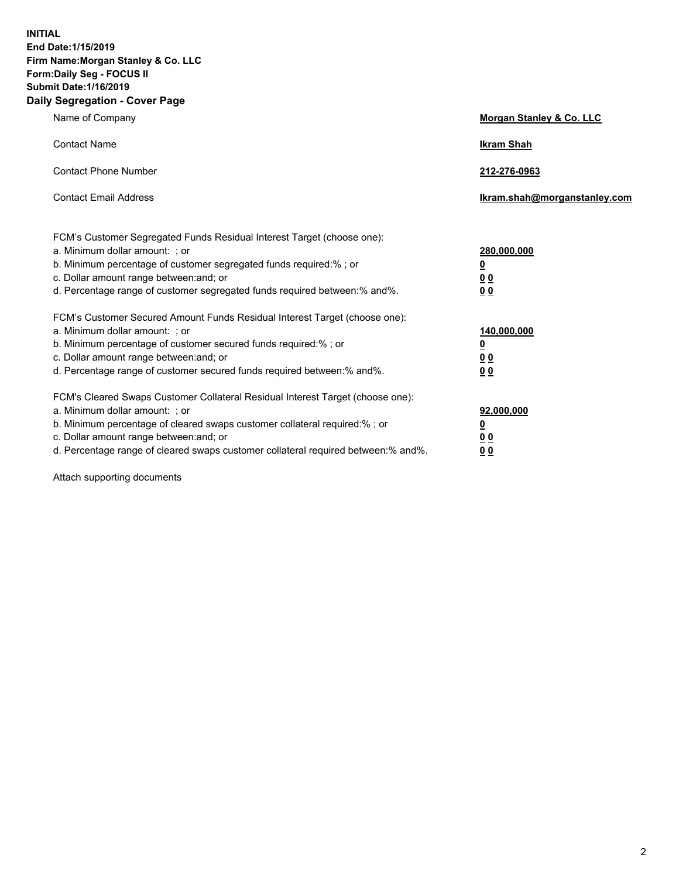**INITIAL End Date:1/15/2019 Firm Name:Morgan Stanley & Co. LLC Form:Daily Seg - FOCUS II Submit Date:1/16/2019 Daily Segregation - Cover Page**

| Name of Company                                                                   | Morgan Stanley & Co. LLC     |
|-----------------------------------------------------------------------------------|------------------------------|
| <b>Contact Name</b>                                                               | <b>Ikram Shah</b>            |
| <b>Contact Phone Number</b>                                                       | 212-276-0963                 |
| <b>Contact Email Address</b>                                                      | Ikram.shah@morganstanley.com |
| FCM's Customer Segregated Funds Residual Interest Target (choose one):            |                              |
| a. Minimum dollar amount: ; or                                                    | 280,000,000                  |
| b. Minimum percentage of customer segregated funds required:% ; or                | <u>0</u>                     |
| c. Dollar amount range between: and; or                                           | <u>0 0</u>                   |
| d. Percentage range of customer segregated funds required between: % and %.       | 0 Q                          |
| FCM's Customer Secured Amount Funds Residual Interest Target (choose one):        |                              |
| a. Minimum dollar amount: ; or                                                    | 140,000,000                  |
| b. Minimum percentage of customer secured funds required:%; or                    | <u>0</u>                     |
| c. Dollar amount range between: and; or                                           | 0 <sub>0</sub>               |
| d. Percentage range of customer secured funds required between:% and%.            | 0 <sub>0</sub>               |
| FCM's Cleared Swaps Customer Collateral Residual Interest Target (choose one):    |                              |
| a. Minimum dollar amount: ; or                                                    | 92,000,000                   |
| b. Minimum percentage of cleared swaps customer collateral required:% ; or        | <u>0</u>                     |
| c. Dollar amount range between: and; or                                           | 0 Q                          |
| d. Percentage range of cleared swaps customer collateral required between:% and%. | 00                           |

Attach supporting documents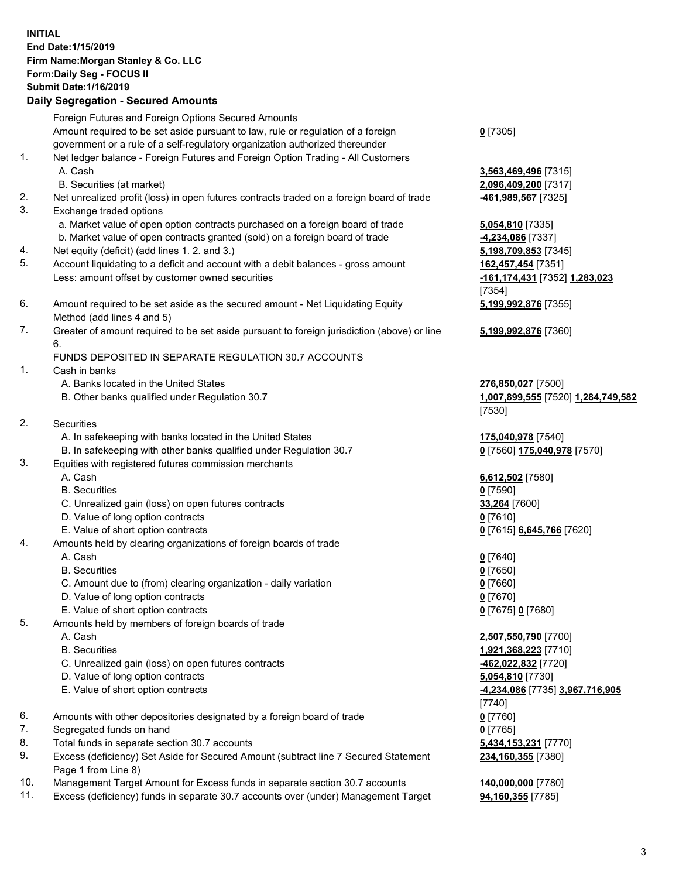## **INITIAL End Date:1/15/2019 Firm Name:Morgan Stanley & Co. LLC Form:Daily Seg - FOCUS II Submit Date:1/16/2019**

## **Daily Segregation - Secured Amounts**

Foreign Futures and Foreign Options Secured Amounts Amount required to be set aside pursuant to law, rule or regulation of a foreign government or a rule of a self-regulatory organization authorized thereunder

- 1. Net ledger balance Foreign Futures and Foreign Option Trading All Customers A. Cash **3,563,469,496** [7315]
	- B. Securities (at market) **2,096,409,200** [7317]
- 2. Net unrealized profit (loss) in open futures contracts traded on a foreign board of trade **-461,989,567** [7325]
- 3. Exchange traded options
	- a. Market value of open option contracts purchased on a foreign board of trade **5,054,810** [7335]
	- b. Market value of open contracts granted (sold) on a foreign board of trade **-4,234,086** [7337]
- 4. Net equity (deficit) (add lines 1. 2. and 3.) **5,198,709,853** [7345]
- 5. Account liquidating to a deficit and account with a debit balances gross amount **162,457,454** [7351] Less: amount offset by customer owned securities **-161,174,431** [7352] **1,283,023**
- 6. Amount required to be set aside as the secured amount Net Liquidating Equity Method (add lines 4 and 5)
- 7. Greater of amount required to be set aside pursuant to foreign jurisdiction (above) or line 6.

## FUNDS DEPOSITED IN SEPARATE REGULATION 30.7 ACCOUNTS

- 1. Cash in banks
	- A. Banks located in the United States **276,850,027** [7500]
	- B. Other banks qualified under Regulation 30.7 **1,007,899,555** [7520] **1,284,749,582**
- 2. Securities
	- A. In safekeeping with banks located in the United States **175,040,978** [7540]
	- B. In safekeeping with other banks qualified under Regulation 30.7 **0** [7560] **175,040,978** [7570]
- 3. Equities with registered futures commission merchants
	-
	- B. Securities **0** [7590]
	- C. Unrealized gain (loss) on open futures contracts **33,264** [7600]
	- D. Value of long option contracts **0** [7610]
- E. Value of short option contracts **0** [7615] **6,645,766** [7620]
- 4. Amounts held by clearing organizations of foreign boards of trade
	- A. Cash **0** [7640]
	- B. Securities **0** [7650]
	- C. Amount due to (from) clearing organization daily variation **0** [7660]
	- D. Value of long option contracts **0** [7670]
	- E. Value of short option contracts **0** [7675] **0** [7680]
- 5. Amounts held by members of foreign boards of trade
	-
	-
	- C. Unrealized gain (loss) on open futures contracts **-462,022,832** [7720]
	- D. Value of long option contracts **5,054,810** [7730]
	- E. Value of short option contracts **-4,234,086** [7735] **3,967,716,905**
- 6. Amounts with other depositories designated by a foreign board of trade **0** [7760]
- 7. Segregated funds on hand **0** [7765]
- 8. Total funds in separate section 30.7 accounts **5,434,153,231** [7770]
- 9. Excess (deficiency) Set Aside for Secured Amount (subtract line 7 Secured Statement Page 1 from Line 8)
- 10. Management Target Amount for Excess funds in separate section 30.7 accounts **140,000,000** [7780]
- 11. Excess (deficiency) funds in separate 30.7 accounts over (under) Management Target **94,160,355** [7785]

**0** [7305]

[7354] **5,199,992,876** [7355]

**5,199,992,876** [7360]

[7530]

A. Cash **6,612,502** [7580]

 A. Cash **2,507,550,790** [7700] B. Securities **1,921,368,223** [7710] [7740] **234,160,355** [7380]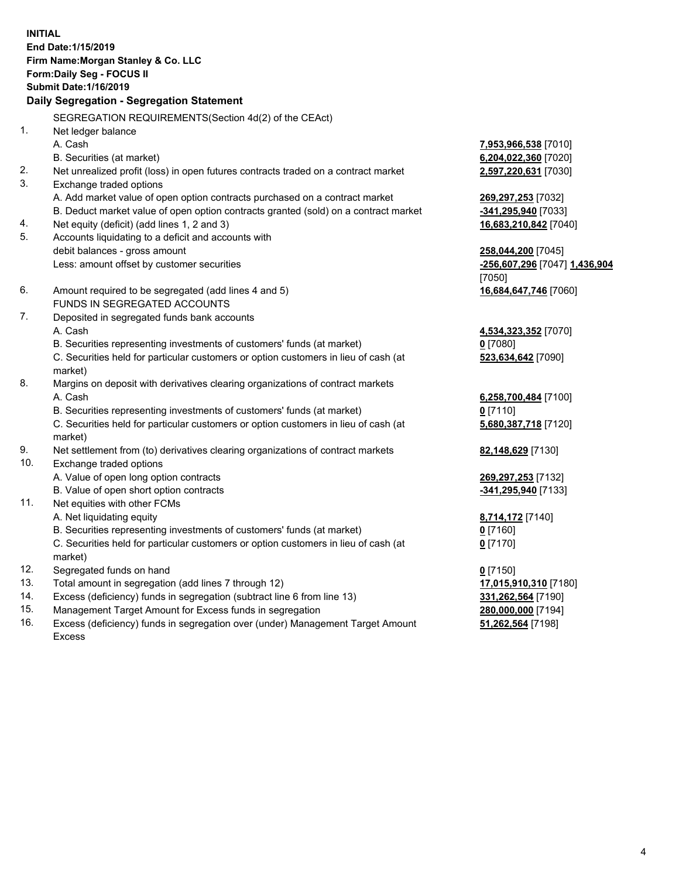**INITIAL End Date:1/15/2019 Firm Name:Morgan Stanley & Co. LLC Form:Daily Seg - FOCUS II Submit Date:1/16/2019 Daily Segregation - Segregation Statement** SEGREGATION REQUIREMENTS(Section 4d(2) of the CEAct) 1. Net ledger balance A. Cash **7,953,966,538** [7010] B. Securities (at market) **6,204,022,360** [7020] 2. Net unrealized profit (loss) in open futures contracts traded on a contract market **2,597,220,631** [7030] 3. Exchange traded options A. Add market value of open option contracts purchased on a contract market **269,297,253** [7032] B. Deduct market value of open option contracts granted (sold) on a contract market **-341,295,940** [7033] 4. Net equity (deficit) (add lines 1, 2 and 3) **16,683,210,842** [7040] 5. Accounts liquidating to a deficit and accounts with debit balances - gross amount **258,044,200** [7045] Less: amount offset by customer securities **-256,607,296** [7047] **1,436,904** [7050] 6. Amount required to be segregated (add lines 4 and 5) **16,684,647,746** [7060] FUNDS IN SEGREGATED ACCOUNTS 7. Deposited in segregated funds bank accounts A. Cash **4,534,323,352** [7070] B. Securities representing investments of customers' funds (at market) **0** [7080] C. Securities held for particular customers or option customers in lieu of cash (at market) **523,634,642** [7090] 8. Margins on deposit with derivatives clearing organizations of contract markets A. Cash **6,258,700,484** [7100] B. Securities representing investments of customers' funds (at market) **0** [7110] C. Securities held for particular customers or option customers in lieu of cash (at market) **5,680,387,718** [7120] 9. Net settlement from (to) derivatives clearing organizations of contract markets **82,148,629** [7130] 10. Exchange traded options A. Value of open long option contracts **269,297,253** [7132] B. Value of open short option contracts **-341,295,940** [7133] 11. Net equities with other FCMs A. Net liquidating equity **8,714,172** [7140] B. Securities representing investments of customers' funds (at market) **0** [7160] C. Securities held for particular customers or option customers in lieu of cash (at market) **0** [7170] 12. Segregated funds on hand **0** [7150] 13. Total amount in segregation (add lines 7 through 12) **17,015,910,310** [7180] 14. Excess (deficiency) funds in segregation (subtract line 6 from line 13) **331,262,564** [7190]

- 15. Management Target Amount for Excess funds in segregation **280,000,000** [7194]
- 16. Excess (deficiency) funds in segregation over (under) Management Target Amount Excess

**51,262,564** [7198]